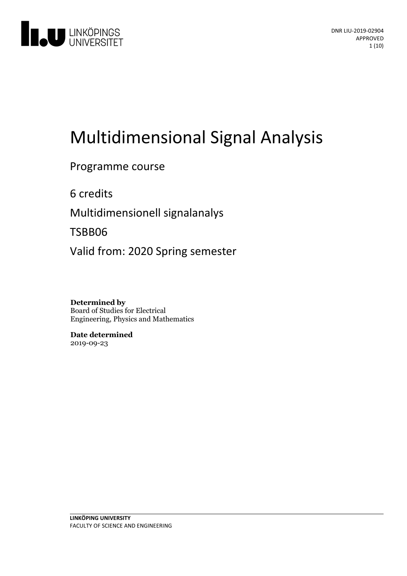

# Multidimensional Signal Analysis

Programme course

6 credits

Multidimensionell signalanalys

TSBB06

Valid from: 2020 Spring semester

**Determined by** Board of Studies for Electrical Engineering, Physics and Mathematics

**Date determined** 2019-09-23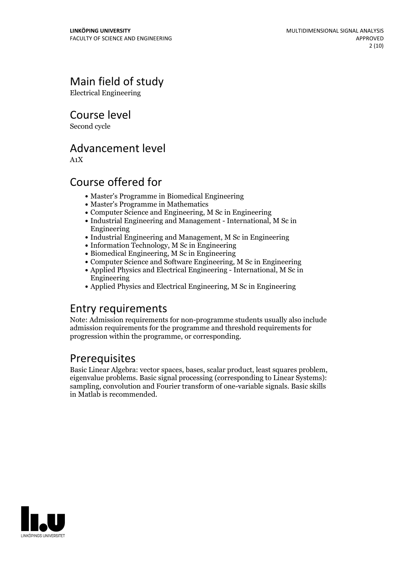# Main field of study

Electrical Engineering

Course level

Second cycle

# Advancement level

A1X

# Course offered for

- Master's Programme in Biomedical Engineering
- Master's Programme in Mathematics
- Computer Science and Engineering, M Sc in Engineering
- Industrial Engineering and Management International, M Sc in Engineering
- Industrial Engineering and Management, M Sc in Engineering
- Information Technology, M Sc in Engineering
- Biomedical Engineering, M Sc in Engineering
- Computer Science and Software Engineering, M Sc in Engineering
- Applied Physics and Electrical Engineering International, M Sc in Engineering
- Applied Physics and Electrical Engineering, M Sc in Engineering

# Entry requirements

Note: Admission requirements for non-programme students usually also include admission requirements for the programme and threshold requirements for progression within the programme, or corresponding.

# Prerequisites

Basic Linear Algebra: vector spaces, bases, scalar product, least squares problem, eigenvalue problems. Basic signal processing (corresponding to Linear Systems): sampling, convolution and Fourier transform of one-variable signals. Basic skills in Matlab is recommended.

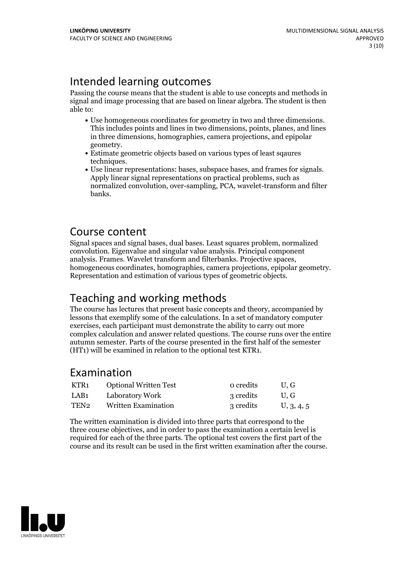# Intended learning outcomes

Passing the course means that the student is able to use concepts and methods in signal and image processing that are based on linear algebra. The student is then able to:

- Use homogeneous coordinates for geometry in two and three dimensions. This includes points and lines in two dimensions, points, planes, and lines in three dimensions, homographies, camera projections, and epipolar
- geometry.<br>• Estimate geometric objects based on various types of least sqaures
- techniques.<br>• Use linear representations: bases, subspace bases, and frames for signals.<br>Apply linear signal representations on practical problems, such as normalized convolution, over-sampling, PCA, wavelet-transform and filter banks.

### Course content

Signal spaces and signal bases, dual bases. Least squares problem, normalized convolution. Eigenvalue and singular value analysis. Principal component homogeneous coordinates, homographies, camera projections, epipolar geometry. Representation and estimation of various types of geometric objects.

# Teaching and working methods

The course has lectures that present basic concepts and theory, accompanied by lessons that exemplify some of the calculations. In a set of mandatory computer exercises, each participant must demonstrate the ability to carry out more complex calculation and answer related questions. The course runs over the entire autumn semester. Parts of the course presented in the first half of the semester (HT1) will be examined in relation to the optional test KTR1.

### Examination

| KTR1 | <b>Optional Written Test</b> | o credits | U.G        |
|------|------------------------------|-----------|------------|
| LAB1 | Laboratory Work              | 3 credits | U.G        |
| TEN2 | Written Examination          | 3 credits | U, 3, 4, 5 |

The written examination is divided into three parts that correspond to the three course objectives, and in order to pass the examination a certain level is required for each of the three parts. The optional test covers the first part of the course and its result can be used in the first written examination after the course.

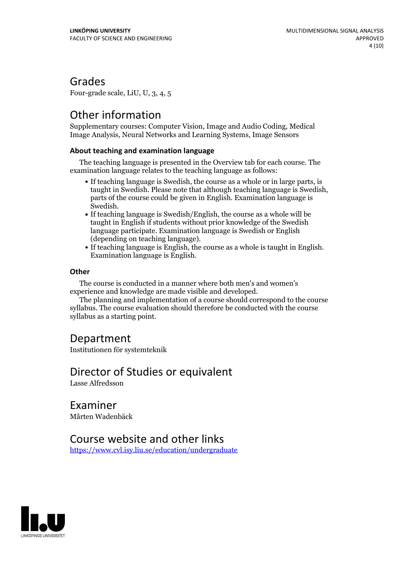### Grades

Four-grade scale, LiU, U, 3, 4, 5

# Other information

Supplementary courses: Computer Vision, Image and Audio Coding, Medical Image Analysis, Neural Networks and Learning Systems, Image Sensors

#### **About teaching and examination language**

The teaching language is presented in the Overview tab for each course. The examination language relates to the teaching language as follows:

- If teaching language is Swedish, the course as a whole or in large parts, is taught in Swedish. Please note that although teaching language is Swedish, parts of the course could be given in English. Examination language is
- $\bullet$  If teaching language is Swedish/English, the course as a whole will be taught in English if students without prior knowledge of the Swedish language participate. Examination language is Swedish or English
- (depending on teaching language).<br>• If teaching language is English, the course as a whole is taught in English.<br>Examination language is English.

#### **Other**

The course is conducted in a manner where both men's and women's

The planning and implementation of a course should correspond to the course syllabus. The course evaluation should therefore be conducted with the course syllabus as a starting point.

### Department

Institutionen för systemteknik

# Director of Studies or equivalent

Lasse Alfredsson

Examiner Mårten Wadenbäck

### Course website and other links

<https://www.cvl.isy.liu.se/education/undergraduate>

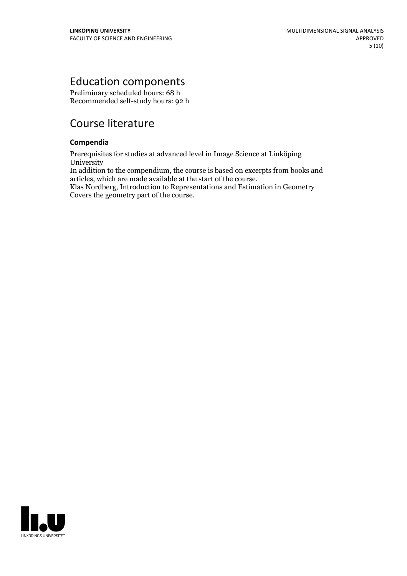# Education components

Preliminary scheduled hours: 68 h Recommended self-study hours: 92 h

# Course literature

#### **Compendia**

Prerequisites for studies at advanced level in Image Science at Linköping **University** 

In addition to the compendium, the course is based on excerpts from books and articles, which are made available at the start of the course.

Klas Nordberg, Introduction to Representations and Estimation in Geometry Covers the geometry part of the course.

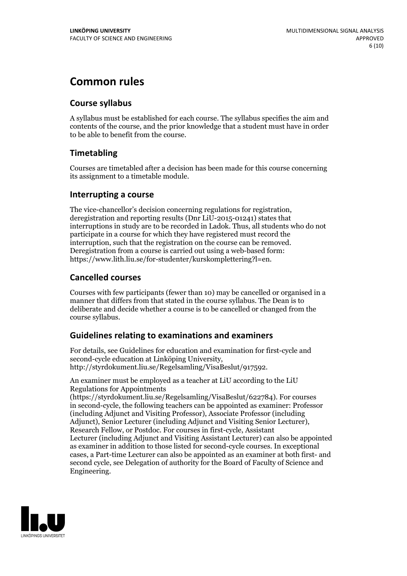# **Common rules**

#### **Course syllabus**

A syllabus must be established for each course. The syllabus specifies the aim and contents of the course, and the prior knowledge that a student must have in order to be able to benefit from the course.

### **Timetabling**

Courses are timetabled after a decision has been made for this course concerning its assignment to a timetable module.

#### **Interrupting a course**

The vice-chancellor's decision concerning regulations for registration, deregistration and reporting results (Dnr LiU-2015-01241) states that interruptions in study are to be recorded in Ladok. Thus, all students who do not participate in a course for which they have registered must record the interruption, such that the registration on the course can be removed. Deregistration from <sup>a</sup> course is carried outusing <sup>a</sup> web-based form: https://www.lith.liu.se/for-studenter/kurskomplettering?l=en.

### **Cancelled courses**

Courses with few participants (fewer than 10) may be cancelled or organised in a manner that differs from that stated in the course syllabus. The Dean is to deliberate and decide whether a course is to be cancelled or changed from the course syllabus.

### **Guidelines relatingto examinations and examiners**

For details, see Guidelines for education and examination for first-cycle and second-cycle education at Linköping University, http://styrdokument.liu.se/Regelsamling/VisaBeslut/917592.

An examiner must be employed as a teacher at LiU according to the LiU Regulations for Appointments

(https://styrdokument.liu.se/Regelsamling/VisaBeslut/622784). For courses in second-cycle, the following teachers can be appointed as examiner: Professor (including Adjunct and Visiting Professor), Associate Professor (including Adjunct), Senior Lecturer (including Adjunct and Visiting Senior Lecturer), Research Fellow, or Postdoc. For courses in first-cycle, Assistant Lecturer (including Adjunct and Visiting Assistant Lecturer) can also be appointed as examiner in addition to those listed for second-cycle courses. In exceptional cases, a Part-time Lecturer can also be appointed as an examiner at both first- and second cycle, see Delegation of authority for the Board of Faculty of Science and Engineering.

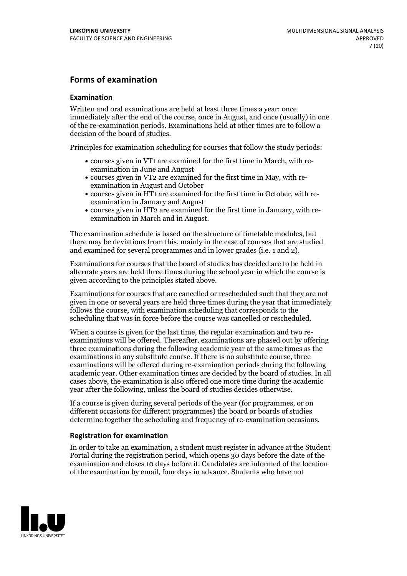#### **Forms of examination**

#### **Examination**

Written and oral examinations are held at least three times a year: once immediately after the end of the course, once in August, and once (usually) in one of the re-examination periods. Examinations held at other times are to follow a decision of the board of studies.

Principles for examination scheduling for courses that follow the study periods:

- courses given in VT1 are examined for the first time in March, with re-examination in June and August
- courses given in VT2 are examined for the first time in May, with re-examination in August and October
- courses given in HT1 are examined for the first time in October, with re-examination in January and August
- courses given in HT2 are examined for the first time in January, with re-examination in March and in August.

The examination schedule is based on the structure of timetable modules, but there may be deviations from this, mainly in the case of courses that are studied and examined for several programmes and in lower grades (i.e. 1 and 2).

Examinations for courses that the board of studies has decided are to be held in alternate years are held three times during the school year in which the course is given according to the principles stated above.

Examinations for courses that are cancelled orrescheduled such that they are not given in one or several years are held three times during the year that immediately follows the course, with examination scheduling that corresponds to the scheduling that was in force before the course was cancelled or rescheduled.

When a course is given for the last time, the regular examination and two re-<br>examinations will be offered. Thereafter, examinations are phased out by offering three examinations during the following academic year at the same times as the examinations in any substitute course. If there is no substitute course, three examinations will be offered during re-examination periods during the following academic year. Other examination times are decided by the board of studies. In all cases above, the examination is also offered one more time during the academic year after the following, unless the board of studies decides otherwise.

If a course is given during several periods of the year (for programmes, or on different occasions for different programmes) the board or boards of studies determine together the scheduling and frequency of re-examination occasions.

#### **Registration for examination**

In order to take an examination, a student must register in advance at the Student Portal during the registration period, which opens 30 days before the date of the examination and closes 10 days before it. Candidates are informed of the location of the examination by email, four days in advance. Students who have not

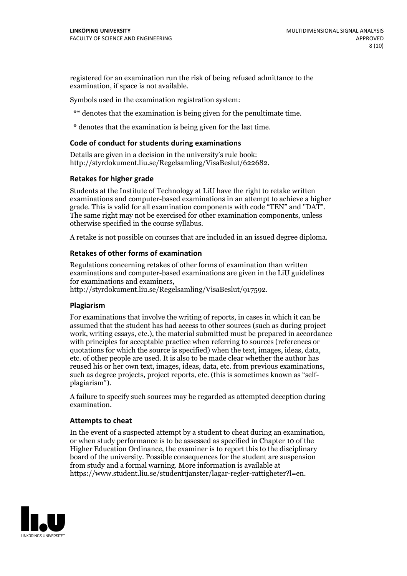registered for an examination run the risk of being refused admittance to the examination, if space is not available.

Symbols used in the examination registration system:

\*\* denotes that the examination is being given for the penultimate time.

\* denotes that the examination is being given for the last time.

#### **Code of conduct for students during examinations**

Details are given in a decision in the university's rule book: http://styrdokument.liu.se/Regelsamling/VisaBeslut/622682.

#### **Retakes for higher grade**

Students at the Institute of Technology at LiU have the right to retake written examinations and computer-based examinations in an attempt to achieve a higher grade. This is valid for all examination components with code "TEN" and "DAT". The same right may not be exercised for other examination components, unless otherwise specified in the course syllabus.

A retake is not possible on courses that are included in an issued degree diploma.

#### **Retakes of other forms of examination**

Regulations concerning retakes of other forms of examination than written examinations and computer-based examinations are given in the LiU guidelines

http://styrdokument.liu.se/Regelsamling/VisaBeslut/917592.

#### **Plagiarism**

For examinations that involve the writing of reports, in cases in which it can be assumed that the student has had access to other sources (such as during project work, writing essays, etc.), the material submitted must be prepared in accordance with principles for acceptable practice when referring to sources (references or quotations for which the source is specified) when the text, images, ideas, data,  $\vec{e}$  etc. of other people are used. It is also to be made clear whether the author has reused his or her own text, images, ideas, data, etc. from previous examinations, such as degree projects, project reports, etc. (this is sometimes known as "self- plagiarism").

A failure to specify such sources may be regarded as attempted deception during examination.

#### **Attempts to cheat**

In the event of <sup>a</sup> suspected attempt by <sup>a</sup> student to cheat during an examination, or when study performance is to be assessed as specified in Chapter <sup>10</sup> of the Higher Education Ordinance, the examiner is to report this to the disciplinary board of the university. Possible consequences for the student are suspension from study and a formal warning. More information is available at https://www.student.liu.se/studenttjanster/lagar-regler-rattigheter?l=en.

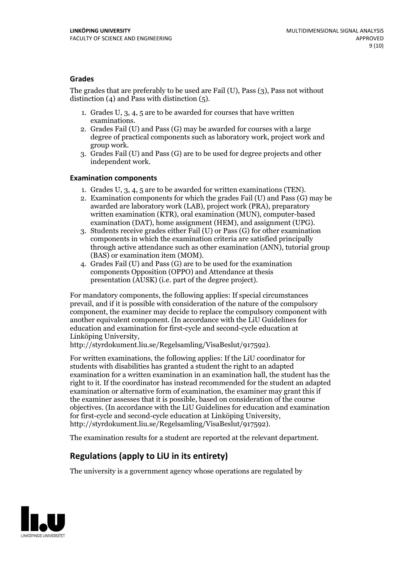#### **Grades**

The grades that are preferably to be used are Fail (U), Pass (3), Pass not without distinction  $(4)$  and Pass with distinction  $(5)$ .

- 1. Grades U, 3, 4, 5 are to be awarded for courses that have written
- examinations. 2. Grades Fail (U) and Pass (G) may be awarded for courses with <sup>a</sup> large degree of practical components such as laboratory work, project work and group work. 3. Grades Fail (U) and Pass (G) are to be used for degree projects and other
- independent work.

#### **Examination components**

- 
- 1. Grades U, 3, 4, <sup>5</sup> are to be awarded for written examinations (TEN). 2. Examination components for which the grades Fail (U) and Pass (G) may be awarded are laboratory work (LAB), project work (PRA), preparatory written examination (KTR), oral examination (MUN), computer-based
- examination (DAT), home assignment (HEM), and assignment (UPG). 3. Students receive grades either Fail (U) or Pass (G) for other examination components in which the examination criteria are satisfied principally through active attendance such as other examination (ANN), tutorial group
- (BAS) or examination item (MOM). 4. Grades Fail (U) and Pass (G) are to be used for the examination components Opposition (OPPO) and Attendance at thesis presentation (AUSK) (i.e. part of the degree project).

For mandatory components, the following applies: If special circumstances prevail, and if it is possible with consideration of the nature of the compulsory component, the examiner may decide to replace the compulsory component with another equivalent component. (In accordance with the LiU Guidelines for education and examination for first-cycle and second-cycle education at Linköping University, http://styrdokument.liu.se/Regelsamling/VisaBeslut/917592).

For written examinations, the following applies: If the LiU coordinator for students with disabilities has granted a student the right to an adapted examination for a written examination in an examination hall, the student has the right to it. If the coordinator has instead recommended for the student an adapted examination or alternative form of examination, the examiner may grant this if the examiner assesses that it is possible, based on consideration of the course objectives. (In accordance with the LiU Guidelines for education and examination for first-cycle and second-cycle education at Linköping University, http://styrdokument.liu.se/Regelsamling/VisaBeslut/917592).

The examination results for a student are reported at the relevant department.

### **Regulations (applyto LiU in its entirety)**

The university is a government agency whose operations are regulated by